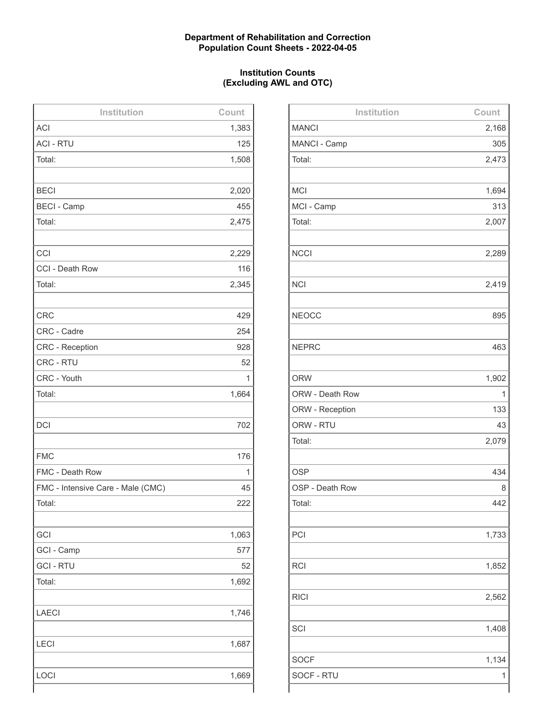# **Department of Rehabilitation and Correction Population Count Sheets - 2022-04-05**

# **Institution Counts (Excluding AWL and OTC)**

| Institution                       | Count |
|-----------------------------------|-------|
| <b>ACI</b>                        | 1,383 |
| <b>ACI - RTU</b>                  | 125   |
| Total:                            | 1,508 |
|                                   |       |
| <b>BECI</b>                       | 2,020 |
| <b>BECI - Camp</b>                | 455   |
| Total:                            | 2,475 |
|                                   |       |
| CCI                               | 2,229 |
| CCI - Death Row                   | 116   |
| Total:                            | 2,345 |
|                                   |       |
| <b>CRC</b>                        | 429   |
| CRC - Cadre                       | 254   |
| <b>CRC - Reception</b>            | 928   |
| CRC - RTU                         | 52    |
| CRC - Youth                       | 1     |
| Total:                            | 1,664 |
|                                   |       |
| <b>DCI</b>                        | 702   |
|                                   |       |
| <b>FMC</b>                        | 176   |
| FMC - Death Row                   | 1     |
| FMC - Intensive Care - Male (CMC) | 45    |
| Total:                            | 222   |
|                                   |       |
| GCI                               | 1,063 |
| GCI - Camp                        | 577   |
| <b>GCI - RTU</b>                  | 52    |
| Total:                            | 1,692 |
|                                   |       |
| <b>LAECI</b>                      | 1,746 |
|                                   |       |
| <b>LECI</b>                       | 1,687 |
|                                   |       |
| LOCI                              | 1,669 |
|                                   |       |

| Institution     | Count |
|-----------------|-------|
| <b>MANCI</b>    | 2,168 |
| MANCI - Camp    | 305   |
| Total:          | 2,473 |
|                 |       |
| <b>MCI</b>      | 1,694 |
| MCI - Camp      | 313   |
| Total:          | 2,007 |
|                 |       |
| <b>NCCI</b>     | 2,289 |
|                 |       |
| <b>NCI</b>      | 2,419 |
|                 |       |
| <b>NEOCC</b>    | 895   |
|                 |       |
| <b>NEPRC</b>    | 463   |
|                 |       |
| <b>ORW</b>      | 1,902 |
| ORW - Death Row | 1     |
| ORW - Reception | 133   |
| ORW - RTU       | 43    |
| Total:          | 2,079 |
|                 |       |
| <b>OSP</b>      | 434   |
| OSP - Death Row | 8     |
| Total:          | 442   |
|                 |       |
| PCI             | 1,733 |
|                 |       |
| <b>RCI</b>      | 1,852 |
|                 |       |
| <b>RICI</b>     | 2,562 |
|                 |       |
| SCI             | 1,408 |
|                 |       |
| <b>SOCF</b>     | 1,134 |
| SOCF - RTU      | 1     |
|                 |       |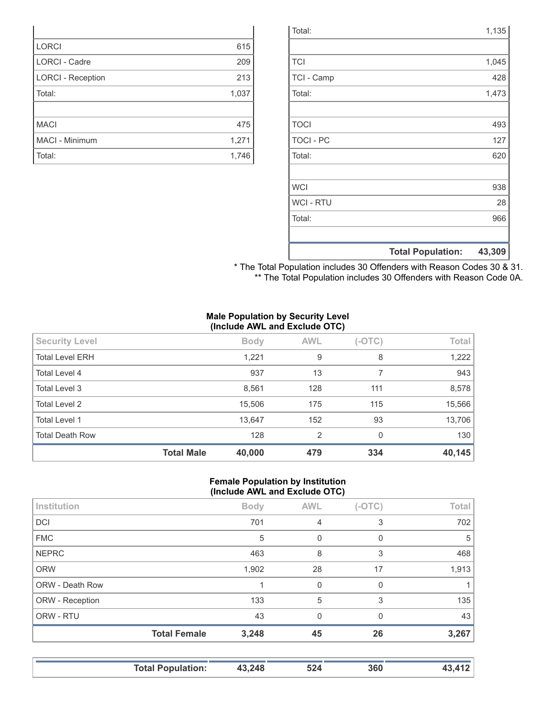|                  | <b>Total Population:</b> | 43,309 |
|------------------|--------------------------|--------|
|                  |                          |        |
| Total:           |                          | 966    |
| <b>WCI - RTU</b> |                          | 28     |
| <b>WCI</b>       |                          | 938    |
|                  |                          |        |
| Total:           |                          | 620    |
| <b>TOCI - PC</b> |                          | 127    |
| <b>TOCI</b>      |                          | 493    |
|                  |                          |        |
| Total:           |                          | 1,473  |
| TCI - Camp       |                          | 428    |
| <b>TCI</b>       |                          | 1,045  |
|                  |                          |        |
| Total:           |                          | 1,135  |

\* The Total Population includes 30 Offenders with Reason Codes 30 & 31. \*\* The Total Population includes 30 Offenders with Reason Code 0A.

### **Male Population by Security Level (Include AWL and Exclude OTC)**

|                        | $\sim$            |             |            |          |        |
|------------------------|-------------------|-------------|------------|----------|--------|
| <b>Security Level</b>  |                   | <b>Body</b> | <b>AWL</b> | $(-OTC)$ | Total  |
| <b>Total Level ERH</b> |                   | 1,221       | 9          | 8        | 1,222  |
| Total Level 4          |                   | 937         | 13         |          | 943    |
| Total Level 3          |                   | 8,561       | 128        | 111      | 8,578  |
| Total Level 2          |                   | 15,506      | 175        | 115      | 15,566 |
| <b>Total Level 1</b>   |                   | 13,647      | 152        | 93       | 13,706 |
| <b>Total Death Row</b> |                   | 128         | 2          | 0        | 130    |
|                        | <b>Total Male</b> | 40,000      | 479        | 334      | 40,145 |

### **Female Population by Institution (Include AWL and Exclude OTC)**

| Institution     |                     | <b>Body</b> | <b>AWL</b> | $(-OTC)$ | Total |
|-----------------|---------------------|-------------|------------|----------|-------|
| <b>DCI</b>      |                     | 701         | 4          | 3        | 702   |
| <b>FMC</b>      |                     | 5           | 0          | 0        | 5     |
| <b>NEPRC</b>    |                     | 463         | 8          | 3        | 468   |
| <b>ORW</b>      |                     | 1,902       | 28         | 17       | 1,913 |
| ORW - Death Row |                     |             | $\Omega$   | $\Omega$ |       |
| ORW - Reception |                     | 133         | 5          | 3        | 135   |
| ORW - RTU       |                     | 43          | $\Omega$   | $\Omega$ | 43    |
|                 | <b>Total Female</b> | 3,248       | 45         | 26       | 3,267 |
|                 |                     |             |            |          |       |

| <b>Total Population:</b> | 43,248 | 524 | 360 | 412 |
|--------------------------|--------|-----|-----|-----|
|                          |        |     |     |     |

| <b>LORCI</b>             | 615   |
|--------------------------|-------|
| <b>LORCI - Cadre</b>     | 209   |
| <b>LORCI - Reception</b> | 213   |
| Total:                   | 1,037 |
|                          |       |
| <b>MACI</b>              | 475   |
| MACI - Minimum           | 1,271 |
| Total:                   | 1,746 |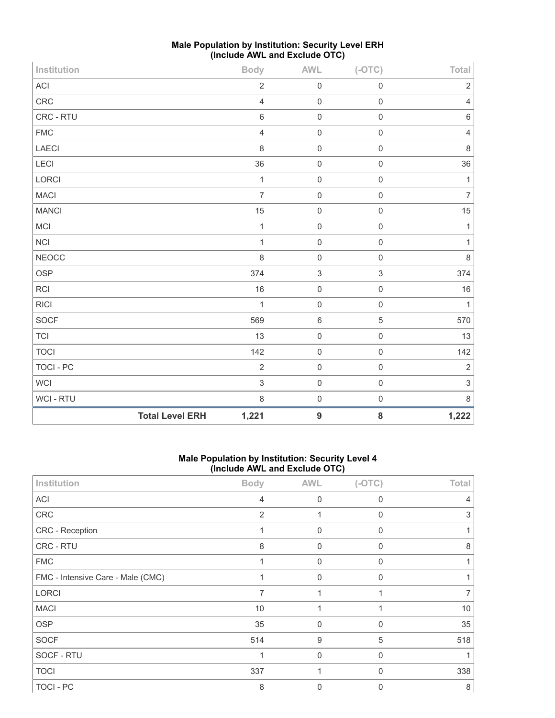| Institution      |                        | <b>Body</b>    | <b>AWL</b>                | $(-OTC)$                  | Total          |
|------------------|------------------------|----------------|---------------------------|---------------------------|----------------|
| ACI              |                        | $\sqrt{2}$     | $\mathsf{O}\xspace$       | $\mathbf 0$               | $\mathbf 2$    |
| CRC              |                        | $\sqrt{4}$     | $\mathbf 0$               | $\mathbf 0$               | $\sqrt{4}$     |
| CRC - RTU        |                        | 6              | $\mathbf 0$               | $\mathbf 0$               | 6              |
| ${\sf FMC}$      |                        | $\overline{4}$ | $\mathbf 0$               | $\mathbf 0$               | 4              |
| LAECI            |                        | 8              | $\mathbf 0$               | $\mathbf 0$               | $\,8\,$        |
| LECI             |                        | 36             | $\mathbf 0$               | $\mathbf 0$               | 36             |
| LORCI            |                        | $\mathbf{1}$   | $\mathbf 0$               | $\mathbf 0$               | $\mathbf{1}$   |
| <b>MACI</b>      |                        | $\overline{7}$ | $\mathbf 0$               | $\mathbf 0$               | $\overline{7}$ |
| <b>MANCI</b>     |                        | 15             | $\mathbf 0$               | $\mathbf 0$               | 15             |
| MCI              |                        | $\mathbf{1}$   | $\mathbf 0$               | $\mathbf 0$               | $\mathbf{1}$   |
| $\sf NC I$       |                        | $\mathbf{1}$   | $\mathbf 0$               | $\mathbf 0$               | $\mathbf{1}$   |
| <b>NEOCC</b>     |                        | $\,8\,$        | $\mathsf{O}\xspace$       | $\mathbf 0$               | $\,8\,$        |
| <b>OSP</b>       |                        | 374            | $\ensuremath{\mathsf{3}}$ | $\ensuremath{\mathsf{3}}$ | 374            |
| RCI              |                        | 16             | $\mathbf 0$               | $\mathbf 0$               | 16             |
| RICI             |                        | $\mathbf{1}$   | $\mathbf 0$               | $\mathbf 0$               | $\mathbf{1}$   |
| SOCF             |                        | 569            | $\,$ 6 $\,$               | $\sqrt{5}$                | 570            |
| <b>TCI</b>       |                        | 13             | $\mathsf{O}\xspace$       | $\mathbf 0$               | 13             |
| <b>TOCI</b>      |                        | 142            | $\mathbf 0$               | $\mathbf 0$               | 142            |
| <b>TOCI - PC</b> |                        | $\overline{2}$ | $\mathbf 0$               | $\mathbf 0$               | $\overline{2}$ |
| <b>WCI</b>       |                        | $\mathfrak{S}$ | $\mathbf 0$               | $\mathsf 0$               | $\sqrt{3}$     |
| WCI - RTU        |                        | 8              | $\pmb{0}$                 | $\mathbf 0$               | $\,8\,$        |
|                  | <b>Total Level ERH</b> | 1,221          | $\boldsymbol{9}$          | ${\bf 8}$                 | 1,222          |

# **Male Population by Institution: Security Level ERH (Include AWL and Exclude OTC)**

### **Male Population by Institution: Security Level 4 (Include AWL and Exclude OTC)**

| Institution                       | <b>Body</b>    | <b>AWL</b>     | $(-OTC)$     | Total |
|-----------------------------------|----------------|----------------|--------------|-------|
| <b>ACI</b>                        | 4              | $\Omega$       | <sup>0</sup> |       |
| CRC                               | $\overline{2}$ | 1              | 0            | 3     |
| CRC - Reception                   |                | $\mathbf 0$    | 0            |       |
| CRC - RTU                         | 8              | $\overline{0}$ | $\Omega$     | 8     |
| <b>FMC</b>                        |                | $\mathbf 0$    | 0            |       |
| FMC - Intensive Care - Male (CMC) |                | 0              | 0            |       |
| <b>LORCI</b>                      | 7              | 1              |              |       |
| <b>MACI</b>                       | 10             | 1              |              | 10    |
| <b>OSP</b>                        | 35             | 0              | 0            | 35    |
| <b>SOCF</b>                       | 514            | 9              | 5            | 518   |
| SOCF - RTU                        |                | $\mathbf 0$    | $\Omega$     |       |
| <b>TOCI</b>                       | 337            |                | $\mathbf{0}$ | 338   |
| TOCI - PC                         | 8              | $\Omega$       | 0            | 8     |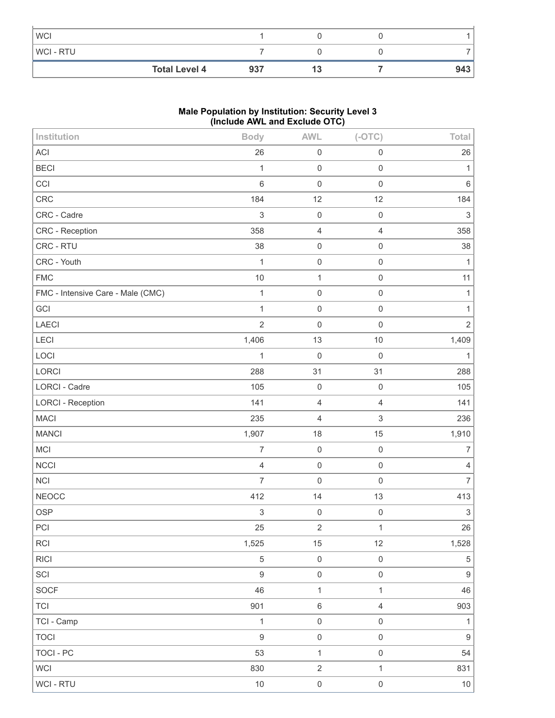| <b>WCI</b>           |     |    |     |
|----------------------|-----|----|-----|
| <b>WCI-RTU</b>       |     |    |     |
| <b>Total Level 4</b> | 937 | 13 | 943 |

# **Male Population by Institution: Security Level 3 (Include AWL and Exclude OTC)**

| Institution                       | л.<br><b>Body</b>         | <b>AWL</b>          | $(-OTC)$            | Total                     |
|-----------------------------------|---------------------------|---------------------|---------------------|---------------------------|
| ACI                               | 26                        | $\mathsf 0$         | $\mathbf 0$         | 26                        |
| <b>BECI</b>                       | $\mathbf{1}$              | $\mathsf 0$         | $\mathbf 0$         | 1                         |
| CCI                               | $6\,$                     | $\,0\,$             | $\mathbf 0$         | $\,6\,$                   |
| CRC                               | 184                       | 12                  | 12                  | 184                       |
| CRC - Cadre                       | $\sqrt{3}$                | $\mathbf 0$         | $\mathbf 0$         | $\ensuremath{\mathsf{3}}$ |
| CRC - Reception                   | 358                       | $\overline{4}$      | $\overline{4}$      | 358                       |
| CRC - RTU                         | 38                        | $\mathsf 0$         | $\mathbf 0$         | 38                        |
| CRC - Youth                       | $\mathbf{1}$              | $\mathbf 0$         | $\mathsf{O}\xspace$ | $\mathbf{1}$              |
| <b>FMC</b>                        | 10                        | $\mathbf{1}$        | $\mathsf{O}\xspace$ | 11                        |
| FMC - Intensive Care - Male (CMC) | $\mathbf{1}$              | $\mathsf 0$         | $\mathbf 0$         | 1                         |
| GCI                               | $\mathbf{1}$              | $\mathsf 0$         | $\mathsf 0$         | 1                         |
| LAECI                             | $\overline{2}$            | $\mathbf 0$         | $\mathbf 0$         | $\overline{2}$            |
| LECI                              | 1,406                     | 13                  | 10                  | 1,409                     |
| LOCI                              | $\mathbf{1}$              | $\mathbf 0$         | $\mathbf 0$         | $\mathbf{1}$              |
| LORCI                             | 288                       | 31                  | 31                  | 288                       |
| <b>LORCI - Cadre</b>              | 105                       | $\mathsf{O}\xspace$ | $\mathbf 0$         | 105                       |
| <b>LORCI - Reception</b>          | 141                       | $\overline{4}$      | $\sqrt{4}$          | 141                       |
| <b>MACI</b>                       | 235                       | $\overline{4}$      | 3                   | 236                       |
| <b>MANCI</b>                      | 1,907                     | 18                  | 15                  | 1,910                     |
| <b>MCI</b>                        | $\overline{7}$            | $\mathbf 0$         | $\mathbf 0$         | $\overline{7}$            |
| NCCI                              | $\overline{4}$            | $\,0\,$             | $\mathbf 0$         | $\overline{4}$            |
| NCI                               | $\overline{7}$            | $\mathbf 0$         | $\mathsf 0$         | $\overline{7}$            |
| <b>NEOCC</b>                      | 412                       | 14                  | 13                  | 413                       |
| <b>OSP</b>                        | $\ensuremath{\mathsf{3}}$ | $\mathsf{O}\xspace$ | $\mathsf{O}\xspace$ | $\ensuremath{\mathsf{3}}$ |
| PCI                               | 25                        | $\sqrt{2}$          | $\mathbf{1}$        | 26                        |
| RCI                               | 1,525                     | 15                  | 12                  | 1,528                     |
| <b>RICI</b>                       | $\,$ 5 $\,$               | $\,0\,$             | $\mathsf{O}\xspace$ | $\mathbf 5$               |
| SCI                               | $\boldsymbol{9}$          | $\mbox{O}$          | $\mathsf{O}\xspace$ | $\boldsymbol{9}$          |
| SOCF                              | 46                        | $\mathbf{1}$        | $\mathbf{1}$        | 46                        |
| <b>TCI</b>                        | 901                       | $\,6\,$             | $\overline{4}$      | 903                       |
| TCI - Camp                        | $\mathbf{1}$              | $\,0\,$             | $\mathsf{O}\xspace$ | $\mathbf{1}$              |
| <b>TOCI</b>                       | $\boldsymbol{9}$          | $\mathsf{O}\xspace$ | $\mathsf{O}\xspace$ | $\boldsymbol{9}$          |
| <b>TOCI - PC</b>                  | 53                        | $\mathbf{1}$        | $\mathsf{O}\xspace$ | 54                        |
| <b>WCI</b>                        | 830                       | $\overline{2}$      | $\mathbf{1}$        | 831                       |
| WCI - RTU                         | $10$                      | $\mathsf{O}\xspace$ | $\mathsf{O}\xspace$ | $10\,$                    |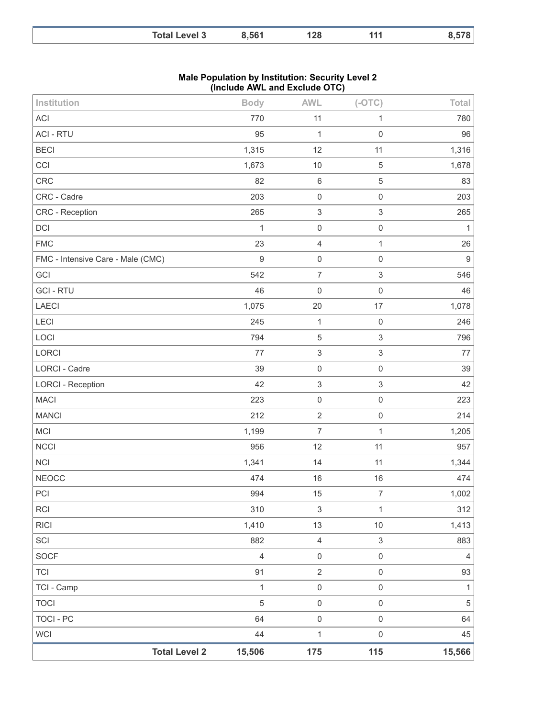| <b>Total Level 3</b> | 8,561 | 128 | 144 | 578 |
|----------------------|-------|-----|-----|-----|
|                      |       |     |     |     |

#### **Male Population by Institution: Security Level 2 (Include AWL and Exclude OTC)**

| Institution                       | <b>Body</b>      | <b>AWL</b>                | $(-OTC)$                  | Total          |
|-----------------------------------|------------------|---------------------------|---------------------------|----------------|
| ACI                               | 770              | 11                        | 1                         | 780            |
| <b>ACI - RTU</b>                  | 95               | $\mathbf{1}$              | $\mathbf 0$               | 96             |
| <b>BECI</b>                       | 1,315            | 12                        | 11                        | 1,316          |
| CCI                               | 1,673            | $10$                      | $\mathbf 5$               | 1,678          |
| CRC                               | 82               | $\,6\,$                   | 5                         | 83             |
| CRC - Cadre                       | 203              | $\mathbf 0$               | $\mathsf 0$               | 203            |
| CRC - Reception                   | 265              | $\ensuremath{\mathsf{3}}$ | 3                         | 265            |
| DCI                               | $\mathbf{1}$     | $\mathsf 0$               | $\mathsf 0$               | 1              |
| <b>FMC</b>                        | 23               | $\sqrt{4}$                | $\mathbf{1}$              | 26             |
| FMC - Intensive Care - Male (CMC) | $\boldsymbol{9}$ | $\mathsf{O}\xspace$       | $\mathsf 0$               | $9\,$          |
| GCI                               | 542              | $\boldsymbol{7}$          | $\ensuremath{\mathsf{3}}$ | 546            |
| <b>GCI-RTU</b>                    | 46               | $\mathbf 0$               | $\mathsf 0$               | 46             |
| LAECI                             | 1,075            | 20                        | 17                        | 1,078          |
| LECI                              | 245              | $\mathbf{1}$              | $\mathbf 0$               | 246            |
| LOCI                              | 794              | $\mathbf 5$               | $\sqrt{3}$                | 796            |
| LORCI                             | 77               | $\ensuremath{\mathsf{3}}$ | 3                         | 77             |
| LORCI - Cadre                     | 39               | $\mathbf 0$               | $\mathsf{O}\xspace$       | 39             |
| <b>LORCI - Reception</b>          | 42               | $\ensuremath{\mathsf{3}}$ | $\sqrt{3}$                | 42             |
| <b>MACI</b>                       | 223              | $\mathbf 0$               | $\mathbf 0$               | 223            |
| <b>MANCI</b>                      | 212              | $\overline{2}$            | $\mathsf 0$               | 214            |
| MCI                               | 1,199            | $\overline{7}$            | $\mathbf{1}$              | 1,205          |
| <b>NCCI</b>                       | 956              | 12                        | 11                        | 957            |
| <b>NCI</b>                        | 1,341            | 14                        | 11                        | 1,344          |
| <b>NEOCC</b>                      | 474              | 16                        | 16                        | 474            |
| PCI                               | 994              | 15                        | $\boldsymbol{7}$          | 1,002          |
| <b>RCI</b>                        | 310              | $\ensuremath{\mathsf{3}}$ | $\mathbf{1}$              | 312            |
| <b>RICI</b>                       | 1,410            | 13                        | $10$                      | 1,413          |
| SCI                               | 882              | $\sqrt{4}$                | 3                         | 883            |
| SOCF                              | $\overline{4}$   | $\mathsf 0$               | $\mathsf{O}\xspace$       | $\overline{4}$ |
| <b>TCI</b>                        | 91               | $\overline{2}$            | $\mathsf{O}\xspace$       | 93             |
| TCI - Camp                        | $\mathbf{1}$     | $\mathsf{O}\xspace$       | $\mathsf{O}\xspace$       | 1              |
| <b>TOCI</b>                       | $\overline{5}$   | $\mathsf{O}\xspace$       | $\mathsf{O}\xspace$       | $\sqrt{5}$     |
| <b>TOCI - PC</b>                  | 64               | $\mathsf 0$               | $\mathsf{O}\xspace$       | 64             |
| <b>WCI</b>                        | 44               | $\mathbf{1}$              | $\mathsf 0$               | 45             |
| <b>Total Level 2</b>              | 15,506           | 175                       | 115                       | 15,566         |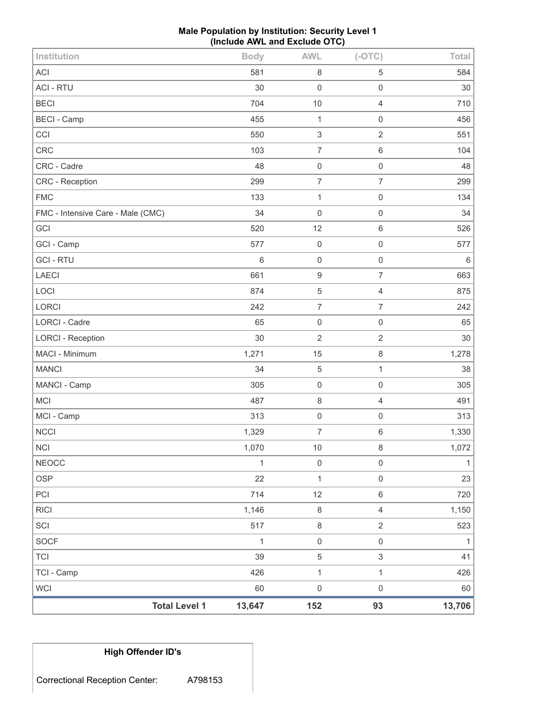| Male Population by Institution: Security Level 1 |
|--------------------------------------------------|
| (Include AWL and Exclude OTC)                    |

| <b>Total Level 1</b>              | 13,647       | 152                       | 93                  | 13,706       |
|-----------------------------------|--------------|---------------------------|---------------------|--------------|
| <b>WCI</b>                        | 60           | $\mathsf 0$               | $\mathbf 0$         | 60           |
| TCI - Camp                        | 426          | $\mathbf{1}$              | $\mathbf{1}$        | 426          |
| <b>TCI</b>                        | 39           | $\sqrt{5}$                | $\mathfrak{S}$      | 41           |
| <b>SOCF</b>                       | $\mathbf{1}$ | $\mathsf 0$               | $\mathsf 0$         | 1            |
| SCI                               | 517          | $\,8\,$                   | $\overline{2}$      | 523          |
| <b>RICI</b>                       | 1,146        | $\,8\,$                   | $\overline{4}$      | 1,150        |
| PCI                               | 714          | 12                        | $\,6\,$             | 720          |
| <b>OSP</b>                        | 22           | $\mathbf{1}$              | $\mathsf{O}\xspace$ | 23           |
| <b>NEOCC</b>                      | $\mathbf{1}$ | $\mathsf{O}\xspace$       | $\mathsf{O}\xspace$ | $\mathbf{1}$ |
| <b>NCI</b>                        | 1,070        | 10                        | $\,8\,$             | 1,072        |
| <b>NCCI</b>                       | 1,329        | $\overline{7}$            | $\,6\,$             | 1,330        |
| MCI - Camp                        | 313          | $\mathsf{O}\xspace$       | $\mathbf 0$         | 313          |
| <b>MCI</b>                        | 487          | $\,8\,$                   | $\overline{4}$      | 491          |
| MANCI - Camp                      | 305          | $\mathbf 0$               | $\mathbf 0$         | 305          |
| <b>MANCI</b>                      | 34           | $\mathbf 5$               | $\mathbf{1}$        | 38           |
| MACI - Minimum                    | 1,271        | 15                        | $\,8\,$             | 1,278        |
| <b>LORCI - Reception</b>          | 30           | $\overline{2}$            | $\overline{2}$      | 30           |
| LORCI - Cadre                     | 65           | $\mathbf 0$               | $\mathbf 0$         | 65           |
| LORCI                             | 242          | $\boldsymbol{7}$          | $\boldsymbol{7}$    | 242          |
| LOCI                              | 874          | $\mathbf 5$               | $\overline{4}$      | 875          |
| <b>LAECI</b>                      | 661          | $\boldsymbol{9}$          | $\overline{7}$      | 663          |
| <b>GCI-RTU</b>                    | $6\,$        | $\mathbf 0$               | $\mathbf 0$         | 6            |
| GCI - Camp                        | 577          | $\mathbf 0$               | $\mathbf 0$         | 577          |
| GCI                               | 520          | 12                        | $\,6\,$             | 526          |
| FMC - Intensive Care - Male (CMC) | 34           | $\mathbf 0$               | $\mathbf 0$         | 34           |
| <b>FMC</b>                        | 133          | $\mathbf{1}$              | $\mathbf 0$         | 134          |
| CRC - Reception                   | 299          | $\boldsymbol{7}$          | $\overline{7}$      | 299          |
| CRC - Cadre                       | 48           | $\mathsf{O}\xspace$       | $\mathsf 0$         | 48           |
| <b>CRC</b>                        | 103          | $\overline{7}$            | $\,6\,$             | 104          |
| CCI                               | 550          | $\ensuremath{\mathsf{3}}$ | $\sqrt{2}$          | 551          |
| <b>BECI - Camp</b>                | 455          | $\mathbf{1}$              | $\mathbf 0$         | 456          |
| <b>BECI</b>                       | 704          | $10$                      | $\overline{4}$      | 710          |
| <b>ACI - RTU</b>                  | 30           | $\mathbf 0$               | $\mathbf 0$         | 30           |
| ACI                               | 581          | 8                         | 5                   | 584          |
| Institution                       | <b>Body</b>  | <b>AWL</b>                | $(-OTC)$            | Total        |